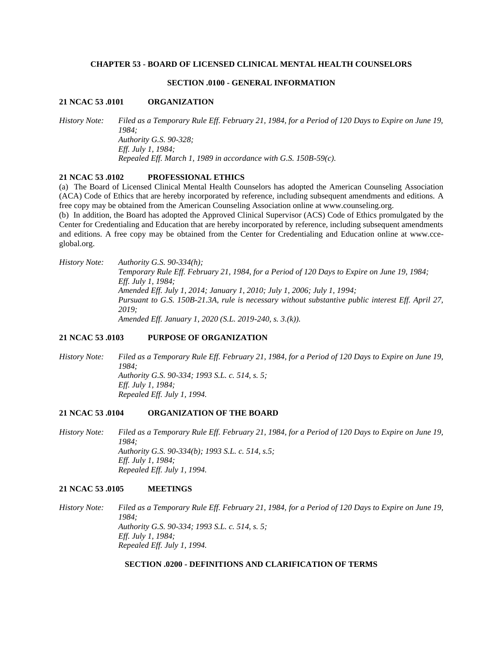### **CHAPTER 53 - BOARD OF LICENSED CLINICAL MENTAL HEALTH COUNSELORS**

### **SECTION .0100 - GENERAL INFORMATION**

#### **21 NCAC 53 .0101 ORGANIZATION**

*History Note: Filed as a Temporary Rule Eff. February 21, 1984, for a Period of 120 Days to Expire on June 19, 1984; Authority G.S. 90-328; Eff. July 1, 1984; Repealed Eff. March 1, 1989 in accordance with G.S. 150B-59(c).*

### **21 NCAC 53 .0102 PROFESSIONAL ETHICS**

(a) The Board of Licensed Clinical Mental Health Counselors has adopted the American Counseling Association (ACA) Code of Ethics that are hereby incorporated by reference, including subsequent amendments and editions. A free copy may be obtained from the American Counseling Association online at www.counseling.org.

(b) In addition, the Board has adopted the Approved Clinical Supervisor (ACS) Code of Ethics promulgated by the Center for Credentialing and Education that are hereby incorporated by reference, including subsequent amendments and editions. A free copy may be obtained from the Center for Credentialing and Education online at www.cceglobal.org.

*History Note: Authority G.S. 90-334(h); Temporary Rule Eff. February 21, 1984, for a Period of 120 Days to Expire on June 19, 1984; Eff. July 1, 1984; Amended Eff. July 1, 2014; January 1, 2010; July 1, 2006; July 1, 1994; Pursuant to G.S. 150B-21.3A, rule is necessary without substantive public interest Eff. April 27, 2019; Amended Eff. January 1, 2020 (S.L. 2019-240, s. 3.(k)).*

### **21 NCAC 53 .0103 PURPOSE OF ORGANIZATION**

*History Note: Filed as a Temporary Rule Eff. February 21, 1984, for a Period of 120 Days to Expire on June 19, 1984; Authority G.S. 90-334; 1993 S.L. c. 514, s. 5; Eff. July 1, 1984; Repealed Eff. July 1, 1994.*

#### **21 NCAC 53 .0104 ORGANIZATION OF THE BOARD**

*History Note: Filed as a Temporary Rule Eff. February 21, 1984, for a Period of 120 Days to Expire on June 19, 1984; Authority G.S. 90-334(b); 1993 S.L. c. 514, s.5; Eff. July 1, 1984; Repealed Eff. July 1, 1994.*

#### **21 NCAC 53 .0105 MEETINGS**

*History Note: Filed as a Temporary Rule Eff. February 21, 1984, for a Period of 120 Days to Expire on June 19, 1984; Authority G.S. 90-334; 1993 S.L. c. 514, s. 5; Eff. July 1, 1984; Repealed Eff. July 1, 1994.*

# **SECTION .0200 - DEFINITIONS AND CLARIFICATION OF TERMS**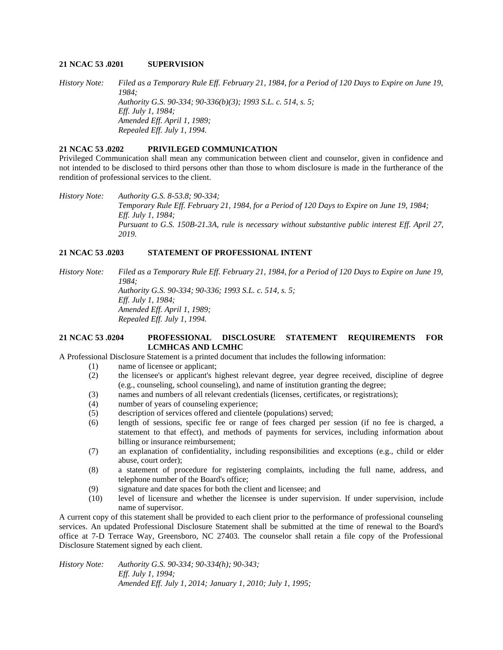### **21 NCAC 53 .0201 SUPERVISION**

*History Note: Filed as a Temporary Rule Eff. February 21, 1984, for a Period of 120 Days to Expire on June 19, 1984; Authority G.S. 90-334; 90-336(b)(3); 1993 S.L. c. 514, s. 5; Eff. July 1, 1984; Amended Eff. April 1, 1989; Repealed Eff. July 1, 1994.*

# **21 NCAC 53 .0202 PRIVILEGED COMMUNICATION**

Privileged Communication shall mean any communication between client and counselor, given in confidence and not intended to be disclosed to third persons other than those to whom disclosure is made in the furtherance of the rendition of professional services to the client.

*History Note: Authority G.S. 8-53.8; 90-334; Temporary Rule Eff. February 21, 1984, for a Period of 120 Days to Expire on June 19, 1984; Eff. July 1, 1984; Pursuant to G.S. 150B-21.3A, rule is necessary without substantive public interest Eff. April 27, 2019.*

# **21 NCAC 53 .0203 STATEMENT OF PROFESSIONAL INTENT**

*History Note: Filed as a Temporary Rule Eff. February 21, 1984, for a Period of 120 Days to Expire on June 19, 1984; Authority G.S. 90-334; 90-336; 1993 S.L. c. 514, s. 5; Eff. July 1, 1984; Amended Eff. April 1, 1989;*

*Repealed Eff. July 1, 1994.*

### **21 NCAC 53 .0204 PROFESSIONAL DISCLOSURE STATEMENT REQUIREMENTS FOR LCMHCAS AND LCMHC**

A Professional Disclosure Statement is a printed document that includes the following information:

- (1) name of licensee or applicant;
- (2) the licensee's or applicant's highest relevant degree, year degree received, discipline of degree (e.g., counseling, school counseling), and name of institution granting the degree;
- (3) names and numbers of all relevant credentials (licenses, certificates, or registrations);
- (4) number of years of counseling experience;
- (5) description of services offered and clientele (populations) served;
- (6) length of sessions, specific fee or range of fees charged per session (if no fee is charged, a statement to that effect), and methods of payments for services, including information about billing or insurance reimbursement;
- (7) an explanation of confidentiality, including responsibilities and exceptions (e.g., child or elder abuse, court order);
- (8) a statement of procedure for registering complaints, including the full name, address, and telephone number of the Board's office;
- (9) signature and date spaces for both the client and licensee; and
- (10) level of licensure and whether the licensee is under supervision. If under supervision, include name of supervisor.

A current copy of this statement shall be provided to each client prior to the performance of professional counseling services. An updated Professional Disclosure Statement shall be submitted at the time of renewal to the Board's office at 7-D Terrace Way, Greensboro, NC 27403. The counselor shall retain a file copy of the Professional Disclosure Statement signed by each client.

*History Note: Authority G.S. 90-334; 90-334(h); 90-343; Eff. July 1, 1994; Amended Eff. July 1, 2014; January 1, 2010; July 1, 1995;*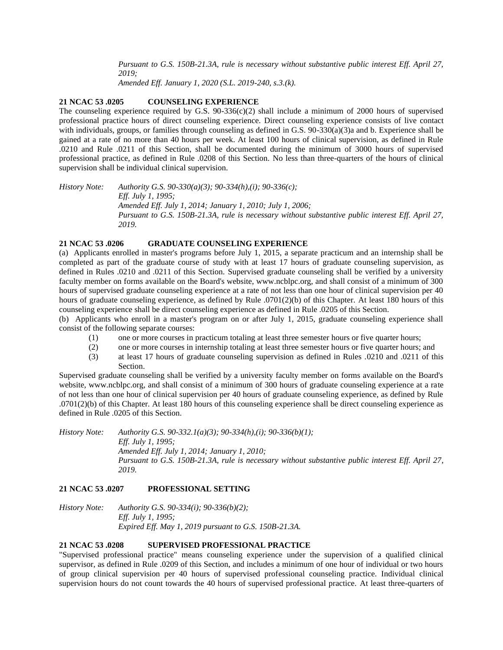*Pursuant to G.S. 150B-21.3A, rule is necessary without substantive public interest Eff. April 27, 2019;*

*Amended Eff. January 1, 2020 (S.L. 2019-240, s.3.(k).*

## **21 NCAC 53 .0205 COUNSELING EXPERIENCE**

The counseling experience required by G.S.  $90-336(c)(2)$  shall include a minimum of 2000 hours of supervised professional practice hours of direct counseling experience. Direct counseling experience consists of live contact with individuals, groups, or families through counseling as defined in G.S. 90-330(a)(3)a and b. Experience shall be gained at a rate of no more than 40 hours per week. At least 100 hours of clinical supervision, as defined in Rule .0210 and Rule .0211 of this Section, shall be documented during the minimum of 3000 hours of supervised professional practice, as defined in Rule .0208 of this Section. No less than three-quarters of the hours of clinical supervision shall be individual clinical supervision.

*History Note: Authority G.S. 90-330(a)(3); 90-334(h),(i); 90-336(c); Eff. July 1, 1995; Amended Eff. July 1, 2014; January 1, 2010; July 1, 2006; Pursuant to G.S. 150B-21.3A, rule is necessary without substantive public interest Eff. April 27, 2019.*

### **21 NCAC 53 .0206 GRADUATE COUNSELING EXPERIENCE**

(a) Applicants enrolled in master's programs before July 1, 2015, a separate practicum and an internship shall be completed as part of the graduate course of study with at least 17 hours of graduate counseling supervision, as defined in Rules .0210 and .0211 of this Section. Supervised graduate counseling shall be verified by a university faculty member on forms available on the Board's website, www.ncblpc.org, and shall consist of a minimum of 300 hours of supervised graduate counseling experience at a rate of not less than one hour of clinical supervision per 40 hours of graduate counseling experience, as defined by Rule .0701(2)(b) of this Chapter. At least 180 hours of this counseling experience shall be direct counseling experience as defined in Rule .0205 of this Section.

(b) Applicants who enroll in a master's program on or after July 1, 2015, graduate counseling experience shall consist of the following separate courses:

- (1) one or more courses in practicum totaling at least three semester hours or five quarter hours;
- (2) one or more courses in internship totaling at least three semester hours or five quarter hours; and
- (3) at least 17 hours of graduate counseling supervision as defined in Rules .0210 and .0211 of this Section.

Supervised graduate counseling shall be verified by a university faculty member on forms available on the Board's website, www.ncblpc.org, and shall consist of a minimum of 300 hours of graduate counseling experience at a rate of not less than one hour of clinical supervision per 40 hours of graduate counseling experience, as defined by Rule .0701(2)(b) of this Chapter. At least 180 hours of this counseling experience shall be direct counseling experience as defined in Rule .0205 of this Section.

*History Note: Authority G.S. 90-332.1(a)(3); 90-334(h),(i); 90-336(b)(1); Eff. July 1, 1995; Amended Eff. July 1, 2014; January 1, 2010; Pursuant to G.S. 150B-21.3A, rule is necessary without substantive public interest Eff. April 27, 2019.*

### **21 NCAC 53 .0207 PROFESSIONAL SETTING**

| History Note: | Authority G.S. 90-334(i); 90-336(b)(2);               |
|---------------|-------------------------------------------------------|
|               | <i>Eff. July 1, 1995;</i>                             |
|               | Expired Eff. May 1, 2019 pursuant to G.S. 150B-21.3A. |

### **21 NCAC 53 .0208 SUPERVISED PROFESSIONAL PRACTICE**

"Supervised professional practice" means counseling experience under the supervision of a qualified clinical supervisor, as defined in Rule .0209 of this Section, and includes a minimum of one hour of individual or two hours of group clinical supervision per 40 hours of supervised professional counseling practice. Individual clinical supervision hours do not count towards the 40 hours of supervised professional practice. At least three-quarters of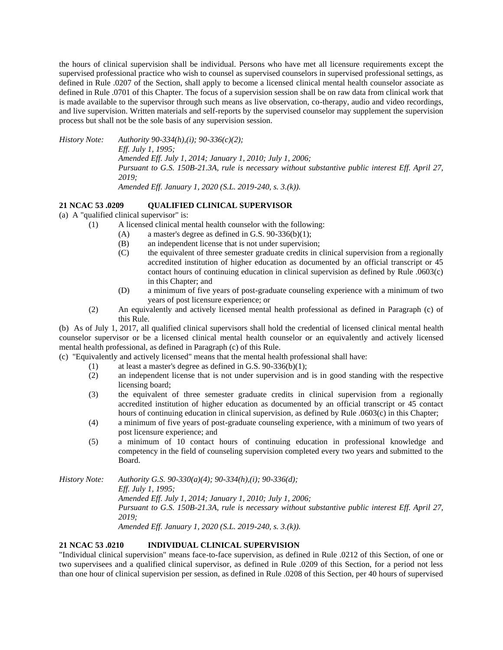the hours of clinical supervision shall be individual. Persons who have met all licensure requirements except the supervised professional practice who wish to counsel as supervised counselors in supervised professional settings, as defined in Rule .0207 of the Section, shall apply to become a licensed clinical mental health counselor associate as defined in Rule .0701 of this Chapter. The focus of a supervision session shall be on raw data from clinical work that is made available to the supervisor through such means as live observation, co-therapy, audio and video recordings, and live supervision. Written materials and self-reports by the supervised counselor may supplement the supervision process but shall not be the sole basis of any supervision session.

*History Note: Authority 90-334(h),(i); 90-336(c)(2); Eff. July 1, 1995; Amended Eff. July 1, 2014; January 1, 2010; July 1, 2006; Pursuant to G.S. 150B-21.3A, rule is necessary without substantive public interest Eff. April 27, 2019;*

*Amended Eff. January 1, 2020 (S.L. 2019-240, s. 3.(k)).*

# **21 NCAC 53 .0209 QUALIFIED CLINICAL SUPERVISOR**

(a) A "qualified clinical supervisor" is:

- (1) A licensed clinical mental health counselor with the following:
	- (A) a master's degree as defined in G.S.  $90-336(b)(1)$ ;
	- (B) an independent license that is not under supervision;
	- (C) the equivalent of three semester graduate credits in clinical supervision from a regionally accredited institution of higher education as documented by an official transcript or 45 contact hours of continuing education in clinical supervision as defined by Rule .0603(c) in this Chapter; and
	- (D) a minimum of five years of post-graduate counseling experience with a minimum of two years of post licensure experience; or
	- (2) An equivalently and actively licensed mental health professional as defined in Paragraph (c) of this Rule.

(b) As of July 1, 2017, all qualified clinical supervisors shall hold the credential of licensed clinical mental health counselor supervisor or be a licensed clinical mental health counselor or an equivalently and actively licensed mental health professional, as defined in Paragraph (c) of this Rule.

(c) "Equivalently and actively licensed" means that the mental health professional shall have:

- (1) at least a master's degree as defined in G.S.  $90-336(b)(1)$ ;
- (2) an independent license that is not under supervision and is in good standing with the respective licensing board;
- (3) the equivalent of three semester graduate credits in clinical supervision from a regionally accredited institution of higher education as documented by an official transcript or 45 contact hours of continuing education in clinical supervision, as defined by Rule .0603(c) in this Chapter;
- (4) a minimum of five years of post-graduate counseling experience, with a minimum of two years of post licensure experience; and
- (5) a minimum of 10 contact hours of continuing education in professional knowledge and competency in the field of counseling supervision completed every two years and submitted to the Board.

*History Note: Authority G.S. 90-330(a)(4); 90-334(h),(i); 90-336(d); Eff. July 1, 1995; Amended Eff. July 1, 2014; January 1, 2010; July 1, 2006; Pursuant to G.S. 150B-21.3A, rule is necessary without substantive public interest Eff. April 27, 2019; Amended Eff. January 1, 2020 (S.L. 2019-240, s. 3.(k)).*

# **21 NCAC 53 .0210 INDIVIDUAL CLINICAL SUPERVISION**

"Individual clinical supervision" means face-to-face supervision, as defined in Rule .0212 of this Section, of one or two supervisees and a qualified clinical supervisor, as defined in Rule .0209 of this Section, for a period not less than one hour of clinical supervision per session, as defined in Rule .0208 of this Section, per 40 hours of supervised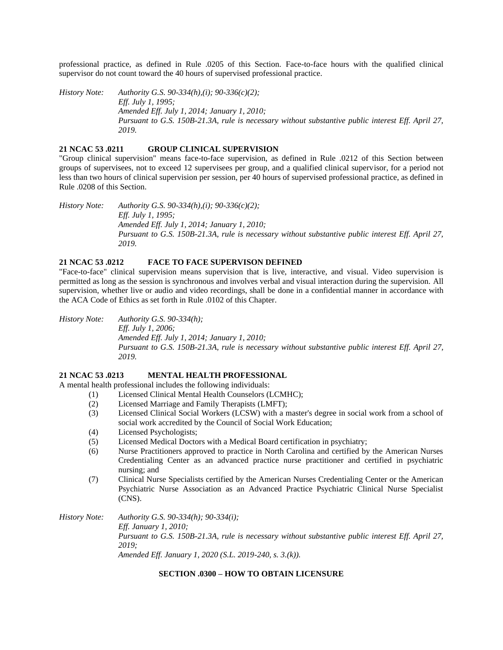professional practice, as defined in Rule .0205 of this Section. Face-to-face hours with the qualified clinical supervisor do not count toward the 40 hours of supervised professional practice.

*History Note: Authority G.S. 90-334(h),(i); 90-336(c)(2); Eff. July 1, 1995; Amended Eff. July 1, 2014; January 1, 2010; Pursuant to G.S. 150B-21.3A, rule is necessary without substantive public interest Eff. April 27, 2019.*

# **21 NCAC 53 .0211 GROUP CLINICAL SUPERVISION**

"Group clinical supervision" means face-to-face supervision, as defined in Rule .0212 of this Section between groups of supervisees, not to exceed 12 supervisees per group, and a qualified clinical supervisor, for a period not less than two hours of clinical supervision per session, per 40 hours of supervised professional practice, as defined in Rule .0208 of this Section.

*History Note: Authority G.S. 90-334(h),(i); 90-336(c)(2); Eff. July 1, 1995; Amended Eff. July 1, 2014; January 1, 2010; Pursuant to G.S. 150B-21.3A, rule is necessary without substantive public interest Eff. April 27, 2019.*

### **21 NCAC 53 .0212 FACE TO FACE SUPERVISON DEFINED**

"Face-to-face" clinical supervision means supervision that is live, interactive, and visual. Video supervision is permitted as long as the session is synchronous and involves verbal and visual interaction during the supervision. All supervision, whether live or audio and video recordings, shall be done in a confidential manner in accordance with the ACA Code of Ethics as set forth in Rule .0102 of this Chapter.

*History Note: Authority G.S. 90-334(h); Eff. July 1, 2006; Amended Eff. July 1, 2014; January 1, 2010; Pursuant to G.S. 150B-21.3A, rule is necessary without substantive public interest Eff. April 27, 2019.*

## **21 NCAC 53 .0213 MENTAL HEALTH PROFESSIONAL**

A mental health professional includes the following individuals:

- (1) Licensed Clinical Mental Health Counselors (LCMHC);
- (2) Licensed Marriage and Family Therapists (LMFT);
- (3) Licensed Clinical Social Workers (LCSW) with a master's degree in social work from a school of social work accredited by the Council of Social Work Education;
- (4) Licensed Psychologists;
- (5) Licensed Medical Doctors with a Medical Board certification in psychiatry;
- (6) Nurse Practitioners approved to practice in North Carolina and certified by the American Nurses Credentialing Center as an advanced practice nurse practitioner and certified in psychiatric nursing; and
- (7) Clinical Nurse Specialists certified by the American Nurses Credentialing Center or the American Psychiatric Nurse Association as an Advanced Practice Psychiatric Clinical Nurse Specialist (CNS).

*History Note: Authority G.S. 90-334(h); 90-334(i);*

*Eff. January 1, 2010; Pursuant to G.S. 150B-21.3A, rule is necessary without substantive public interest Eff. April 27, 2019;*

*Amended Eff. January 1, 2020 (S.L. 2019-240, s. 3.(k)).*

# **SECTION .0300 – HOW TO OBTAIN LICENSURE**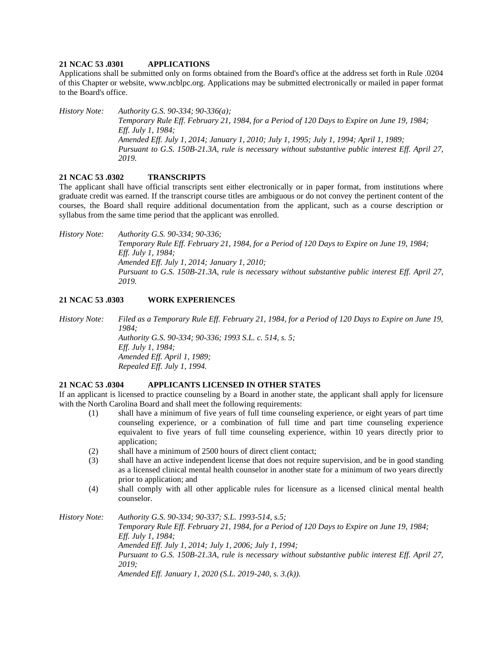## **21 NCAC 53 .0301 APPLICATIONS**

Applications shall be submitted only on forms obtained from the Board's office at the address set forth in Rule .0204 of this Chapter or website, www.ncblpc.org. Applications may be submitted electronically or mailed in paper format to the Board's office.

*History Note: Authority G.S. 90-334; 90-336(a); Temporary Rule Eff. February 21, 1984, for a Period of 120 Days to Expire on June 19, 1984; Eff. July 1, 1984; Amended Eff. July 1, 2014; January 1, 2010; July 1, 1995; July 1, 1994; April 1, 1989; Pursuant to G.S. 150B-21.3A, rule is necessary without substantive public interest Eff. April 27, 2019.*

# **21 NCAC 53 .0302 TRANSCRIPTS**

The applicant shall have official transcripts sent either electronically or in paper format, from institutions where graduate credit was earned. If the transcript course titles are ambiguous or do not convey the pertinent content of the courses, the Board shall require additional documentation from the applicant, such as a course description or syllabus from the same time period that the applicant was enrolled.

*History Note: Authority G.S. 90-334; 90-336; Temporary Rule Eff. February 21, 1984, for a Period of 120 Days to Expire on June 19, 1984; Eff. July 1, 1984; Amended Eff. July 1, 2014; January 1, 2010; Pursuant to G.S. 150B-21.3A, rule is necessary without substantive public interest Eff. April 27, 2019.*

# **21 NCAC 53 .0303 WORK EXPERIENCES**

*History Note: Filed as a Temporary Rule Eff. February 21, 1984, for a Period of 120 Days to Expire on June 19, 1984; Authority G.S. 90-334; 90-336; 1993 S.L. c. 514, s. 5; Eff. July 1, 1984; Amended Eff. April 1, 1989; Repealed Eff. July 1, 1994.*

#### **21 NCAC 53 .0304 APPLICANTS LICENSED IN OTHER STATES**

If an applicant is licensed to practice counseling by a Board in another state, the applicant shall apply for licensure with the North Carolina Board and shall meet the following requirements:

- (1) shall have a minimum of five years of full time counseling experience, or eight years of part time counseling experience, or a combination of full time and part time counseling experience equivalent to five years of full time counseling experience, within 10 years directly prior to application;
- (2) shall have a minimum of 2500 hours of direct client contact;
- (3) shall have an active independent license that does not require supervision, and be in good standing as a licensed clinical mental health counselor in another state for a minimum of two years directly prior to application; and
- (4) shall comply with all other applicable rules for licensure as a licensed clinical mental health counselor.

*History Note: Authority G.S. 90-334; 90-337; S.L. 1993-514, s.5;*

*Temporary Rule Eff. February 21, 1984, for a Period of 120 Days to Expire on June 19, 1984; Eff. July 1, 1984; Amended Eff. July 1, 2014; July 1, 2006; July 1, 1994; Pursuant to G.S. 150B-21.3A, rule is necessary without substantive public interest Eff. April 27, 2019; Amended Eff. January 1, 2020 (S.L. 2019-240, s. 3.(k)).*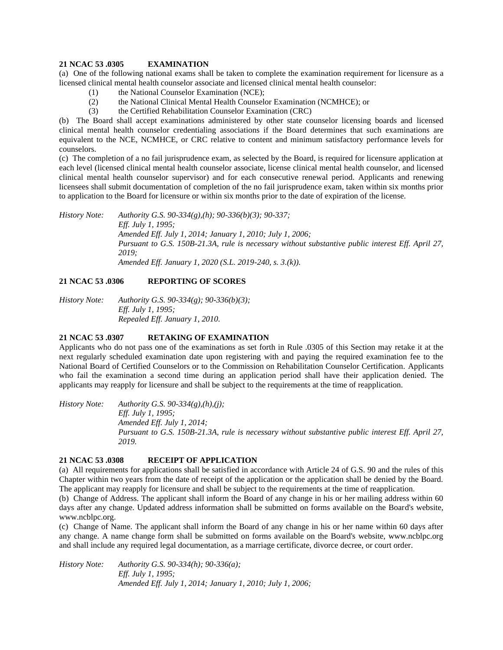### **21 NCAC 53 .0305 EXAMINATION**

(a) One of the following national exams shall be taken to complete the examination requirement for licensure as a licensed clinical mental health counselor associate and licensed clinical mental health counselor:

- (1) the National Counselor Examination (NCE);
- (2) the National Clinical Mental Health Counselor Examination (NCMHCE); or
- (3) the Certified Rehabilitation Counselor Examination (CRC)

(b) The Board shall accept examinations administered by other state counselor licensing boards and licensed clinical mental health counselor credentialing associations if the Board determines that such examinations are equivalent to the NCE, NCMHCE, or CRC relative to content and minimum satisfactory performance levels for counselors.

(c) The completion of a no fail jurisprudence exam, as selected by the Board, is required for licensure application at each level (licensed clinical mental health counselor associate, license clinical mental health counselor, and licensed clinical mental health counselor supervisor) and for each consecutive renewal period. Applicants and renewing licensees shall submit documentation of completion of the no fail jurisprudence exam, taken within six months prior to application to the Board for licensure or within six months prior to the date of expiration of the license.

*History Note: Authority G.S. 90-334(g),(h); 90-336(b)(3); 90-337; Eff. July 1, 1995; Amended Eff. July 1, 2014; January 1, 2010; July 1, 2006; Pursuant to G.S. 150B-21.3A, rule is necessary without substantive public interest Eff. April 27, 2019; Amended Eff. January 1, 2020 (S.L. 2019-240, s. 3.(k)).*

# **21 NCAC 53 .0306 REPORTING OF SCORES**

*History Note: Authority G.S. 90-334(g); 90-336(b)(3); Eff. July 1, 1995; Repealed Eff. January 1, 2010.*

# **21 NCAC 53 .0307 RETAKING OF EXAMINATION**

Applicants who do not pass one of the examinations as set forth in Rule .0305 of this Section may retake it at the next regularly scheduled examination date upon registering with and paying the required examination fee to the National Board of Certified Counselors or to the Commission on Rehabilitation Counselor Certification. Applicants who fail the examination a second time during an application period shall have their application denied. The applicants may reapply for licensure and shall be subject to the requirements at the time of reapplication.

*History Note: Authority G.S. 90-334(g),(h),(j); Eff. July 1, 1995; Amended Eff. July 1, 2014; Pursuant to G.S. 150B-21.3A, rule is necessary without substantive public interest Eff. April 27, 2019.*

# **21 NCAC 53 .0308 RECEIPT OF APPLICATION**

(a) All requirements for applications shall be satisfied in accordance with Article 24 of G.S. 90 and the rules of this Chapter within two years from the date of receipt of the application or the application shall be denied by the Board. The applicant may reapply for licensure and shall be subject to the requirements at the time of reapplication.

(b) Change of Address. The applicant shall inform the Board of any change in his or her mailing address within 60 days after any change. Updated address information shall be submitted on forms available on the Board's website, www.ncblpc.org.

(c) Change of Name. The applicant shall inform the Board of any change in his or her name within 60 days after any change. A name change form shall be submitted on forms available on the Board's website, www.ncblpc.org and shall include any required legal documentation, as a marriage certificate, divorce decree, or court order.

*History Note: Authority G.S. 90-334(h); 90-336(a); Eff. July 1, 1995; Amended Eff. July 1, 2014; January 1, 2010; July 1, 2006;*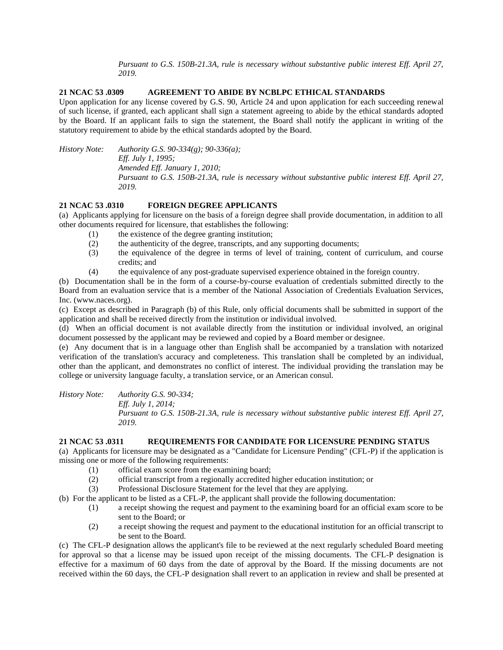*Pursuant to G.S. 150B-21.3A, rule is necessary without substantive public interest Eff. April 27, 2019.*

# **21 NCAC 53 .0309 AGREEMENT TO ABIDE BY NCBLPC ETHICAL STANDARDS**

Upon application for any license covered by G.S. 90, Article 24 and upon application for each succeeding renewal of such license, if granted, each applicant shall sign a statement agreeing to abide by the ethical standards adopted by the Board. If an applicant fails to sign the statement, the Board shall notify the applicant in writing of the statutory requirement to abide by the ethical standards adopted by the Board.

*History Note: Authority G.S. 90-334(g); 90-336(a); Eff. July 1, 1995; Amended Eff. January 1, 2010; Pursuant to G.S. 150B-21.3A, rule is necessary without substantive public interest Eff. April 27, 2019.*

# **21 NCAC 53 .0310 FOREIGN DEGREE APPLICANTS**

(a) Applicants applying for licensure on the basis of a foreign degree shall provide documentation, in addition to all other documents required for licensure, that establishes the following:

- (1) the existence of the degree granting institution;
- (2) the authenticity of the degree, transcripts, and any supporting documents;
- (3) the equivalence of the degree in terms of level of training, content of curriculum, and course credits; and
- (4) the equivalence of any post-graduate supervised experience obtained in the foreign country.

(b) Documentation shall be in the form of a course-by-course evaluation of credentials submitted directly to the Board from an evaluation service that is a member of the National Association of Credentials Evaluation Services, Inc. (www.naces.org).

(c) Except as described in Paragraph (b) of this Rule, only official documents shall be submitted in support of the application and shall be received directly from the institution or individual involved.

(d) When an official document is not available directly from the institution or individual involved, an original document possessed by the applicant may be reviewed and copied by a Board member or designee.

(e) Any document that is in a language other than English shall be accompanied by a translation with notarized verification of the translation's accuracy and completeness. This translation shall be completed by an individual, other than the applicant, and demonstrates no conflict of interest. The individual providing the translation may be college or university language faculty, a translation service, or an American consul.

*History Note: Authority G.S. 90-334;*

*Eff. July 1, 2014;*

*Pursuant to G.S. 150B-21.3A, rule is necessary without substantive public interest Eff. April 27, 2019.*

### **21 NCAC 53 .0311 REQUIREMENTS FOR CANDIDATE FOR LICENSURE PENDING STATUS**

(a) Applicants for licensure may be designated as a "Candidate for Licensure Pending" (CFL-P) if the application is missing one or more of the following requirements:

- (1) official exam score from the examining board;
- (2) official transcript from a regionally accredited higher education institution; or
- (3) Professional Disclosure Statement for the level that they are applying.

(b) For the applicant to be listed as a CFL-P, the applicant shall provide the following documentation:

- (1) a receipt showing the request and payment to the examining board for an official exam score to be sent to the Board; or
- (2) a receipt showing the request and payment to the educational institution for an official transcript to be sent to the Board.

(c) The CFL-P designation allows the applicant's file to be reviewed at the next regularly scheduled Board meeting for approval so that a license may be issued upon receipt of the missing documents. The CFL-P designation is effective for a maximum of 60 days from the date of approval by the Board. If the missing documents are not received within the 60 days, the CFL-P designation shall revert to an application in review and shall be presented at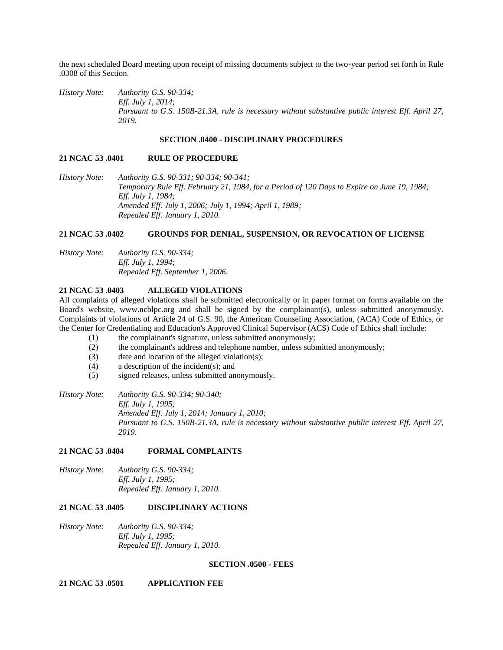the next scheduled Board meeting upon receipt of missing documents subject to the two-year period set forth in Rule .0308 of this Section.

*History Note: Authority G.S. 90-334; Eff. July 1, 2014; Pursuant to G.S. 150B-21.3A, rule is necessary without substantive public interest Eff. April 27, 2019.*

#### **SECTION .0400 - DISCIPLINARY PROCEDURES**

#### **21 NCAC 53 .0401 RULE OF PROCEDURE**

*History Note: Authority G.S. 90-331; 90-334; 90-341; Temporary Rule Eff. February 21, 1984, for a Period of 120 Days to Expire on June 19, 1984; Eff. July 1, 1984; Amended Eff. July 1, 2006; July 1, 1994; April 1, 1989; Repealed Eff. January 1, 2010.*

#### **21 NCAC 53 .0402 GROUNDS FOR DENIAL, SUSPENSION, OR REVOCATION OF LICENSE**

*History Note: Authority G.S. 90-334; Eff. July 1, 1994; Repealed Eff. September 1, 2006.*

### **21 NCAC 53 .0403 ALLEGED VIOLATIONS**

All complaints of alleged violations shall be submitted electronically or in paper format on forms available on the Board's website, www.ncblpc.org and shall be signed by the complainant(s), unless submitted anonymously. Complaints of violations of Article 24 of G.S. 90, the American Counseling Association, (ACA) Code of Ethics, or the Center for Credentialing and Education's Approved Clinical Supervisor (ACS) Code of Ethics shall include:

- (1) the complainant's signature, unless submitted anonymously;
- (2) the complainant's address and telephone number, unless submitted anonymously;
- (3) date and location of the alleged violation(s);
- (4) a description of the incident(s); and
- (5) signed releases, unless submitted anonymously.

*History Note: Authority G.S. 90-334; 90-340; Eff. July 1, 1995; Amended Eff. July 1, 2014; January 1, 2010; Pursuant to G.S. 150B-21.3A, rule is necessary without substantive public interest Eff. April 27, 2019.*

### **21 NCAC 53 .0404 FORMAL COMPLAINTS**

*History Note: Authority G.S. 90-334; Eff. July 1, 1995; Repealed Eff. January 1, 2010.*

### **21 NCAC 53 .0405 DISCIPLINARY ACTIONS**

*History Note: Authority G.S. 90-334; Eff. July 1, 1995; Repealed Eff. January 1, 2010.*

### **SECTION .0500 - FEES**

**21 NCAC 53 .0501 APPLICATION FEE**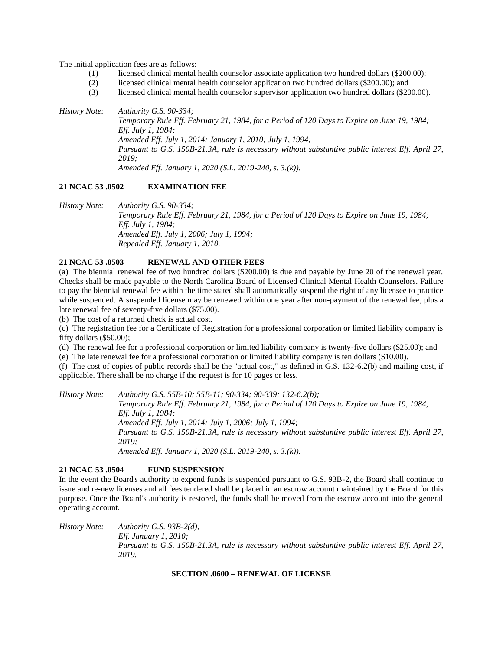The initial application fees are as follows:

- (1) licensed clinical mental health counselor associate application two hundred dollars (\$200.00);
- (2) licensed clinical mental health counselor application two hundred dollars (\$200.00); and
- (3) licensed clinical mental health counselor supervisor application two hundred dollars (\$200.00).

*History Note: Authority G.S. 90-334; Temporary Rule Eff. February 21, 1984, for a Period of 120 Days to Expire on June 19, 1984; Eff. July 1, 1984; Amended Eff. July 1, 2014; January 1, 2010; July 1, 1994; Pursuant to G.S. 150B-21.3A, rule is necessary without substantive public interest Eff. April 27, 2019; Amended Eff. January 1, 2020 (S.L. 2019-240, s. 3.(k)).*

### **21 NCAC 53 .0502 EXAMINATION FEE**

*History Note: Authority G.S. 90-334; Temporary Rule Eff. February 21, 1984, for a Period of 120 Days to Expire on June 19, 1984; Eff. July 1, 1984; Amended Eff. July 1, 2006; July 1, 1994; Repealed Eff. January 1, 2010.*

# **21 NCAC 53 .0503 RENEWAL AND OTHER FEES**

(a) The biennial renewal fee of two hundred dollars (\$200.00) is due and payable by June 20 of the renewal year. Checks shall be made payable to the North Carolina Board of Licensed Clinical Mental Health Counselors. Failure to pay the biennial renewal fee within the time stated shall automatically suspend the right of any licensee to practice while suspended. A suspended license may be renewed within one year after non-payment of the renewal fee, plus a late renewal fee of seventy-five dollars (\$75.00).

(b) The cost of a returned check is actual cost.

(c) The registration fee for a Certificate of Registration for a professional corporation or limited liability company is fifty dollars (\$50.00);

(d) The renewal fee for a professional corporation or limited liability company is twenty-five dollars (\$25.00); and

(e) The late renewal fee for a professional corporation or limited liability company is ten dollars (\$10.00).

(f) The cost of copies of public records shall be the "actual cost," as defined in G.S. 132-6.2(b) and mailing cost, if applicable. There shall be no charge if the request is for 10 pages or less.

*History Note: Authority G.S. 55B-10; 55B-11; 90-334; 90-339; 132-6.2(b);*

*Temporary Rule Eff. February 21, 1984, for a Period of 120 Days to Expire on June 19, 1984; Eff. July 1, 1984; Amended Eff. July 1, 2014; July 1, 2006; July 1, 1994; Pursuant to G.S. 150B-21.3A, rule is necessary without substantive public interest Eff. April 27, 2019; Amended Eff. January 1, 2020 (S.L. 2019-240, s. 3.(k)).*

### **21 NCAC 53 .0504 FUND SUSPENSION**

In the event the Board's authority to expend funds is suspended pursuant to G.S. 93B-2, the Board shall continue to issue and re-new licenses and all fees tendered shall be placed in an escrow account maintained by the Board for this purpose. Once the Board's authority is restored, the funds shall be moved from the escrow account into the general operating account.

*History Note: Authority G.S. 93B-2(d); Eff. January 1, 2010; Pursuant to G.S. 150B-21.3A, rule is necessary without substantive public interest Eff. April 27, 2019.*

### **SECTION .0600 – RENEWAL OF LICENSE**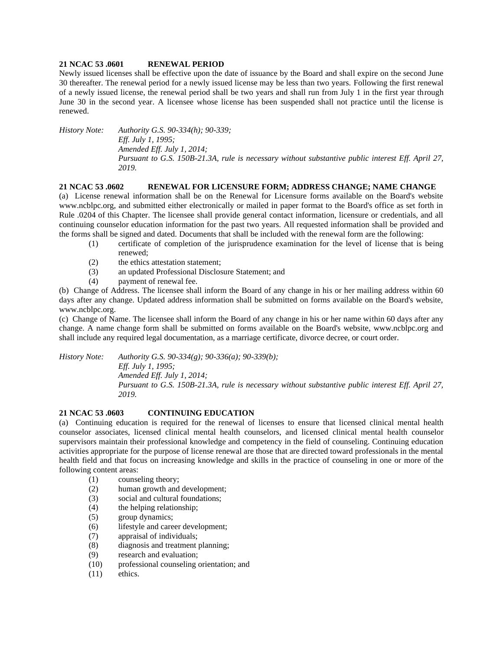### **21 NCAC 53 .0601 RENEWAL PERIOD**

Newly issued licenses shall be effective upon the date of issuance by the Board and shall expire on the second June 30 thereafter. The renewal period for a newly issued license may be less than two years. Following the first renewal of a newly issued license, the renewal period shall be two years and shall run from July 1 in the first year through June 30 in the second year. A licensee whose license has been suspended shall not practice until the license is renewed.

*History Note: Authority G.S. 90-334(h); 90-339; Eff. July 1, 1995; Amended Eff. July 1, 2014; Pursuant to G.S. 150B-21.3A, rule is necessary without substantive public interest Eff. April 27, 2019.*

### **21 NCAC 53 .0602 RENEWAL FOR LICENSURE FORM; ADDRESS CHANGE; NAME CHANGE**

(a) License renewal information shall be on the Renewal for Licensure forms available on the Board's website www.ncblpc.org, and submitted either electronically or mailed in paper format to the Board's office as set forth in Rule .0204 of this Chapter. The licensee shall provide general contact information, licensure or credentials, and all continuing counselor education information for the past two years. All requested information shall be provided and the forms shall be signed and dated. Documents that shall be included with the renewal form are the following:

- (1) certificate of completion of the jurisprudence examination for the level of license that is being renewed;
- (2) the ethics attestation statement;
- (3) an updated Professional Disclosure Statement; and
- (4) payment of renewal fee.

(b) Change of Address. The licensee shall inform the Board of any change in his or her mailing address within 60 days after any change. Updated address information shall be submitted on forms available on the Board's website, www.ncblpc.org.

(c) Change of Name. The licensee shall inform the Board of any change in his or her name within 60 days after any change. A name change form shall be submitted on forms available on the Board's website, www.ncblpc.org and shall include any required legal documentation, as a marriage certificate, divorce decree, or court order.

*History Note: Authority G.S. 90-334(g); 90-336(a); 90-339(b);*

*Eff. July 1, 1995; Amended Eff. July 1, 2014; Pursuant to G.S. 150B-21.3A, rule is necessary without substantive public interest Eff. April 27, 2019.*

# **21 NCAC 53 .0603 CONTINUING EDUCATION**

(a) Continuing education is required for the renewal of licenses to ensure that licensed clinical mental health counselor associates, licensed clinical mental health counselors, and licensed clinical mental health counselor supervisors maintain their professional knowledge and competency in the field of counseling. Continuing education activities appropriate for the purpose of license renewal are those that are directed toward professionals in the mental health field and that focus on increasing knowledge and skills in the practice of counseling in one or more of the following content areas:

- (1) counseling theory;
- (2) human growth and development;
- (3) social and cultural foundations;
- (4) the helping relationship;
- (5) group dynamics;
- (6) lifestyle and career development;
- (7) appraisal of individuals;
- (8) diagnosis and treatment planning;
- (9) research and evaluation;
- (10) professional counseling orientation; and
- (11) ethics.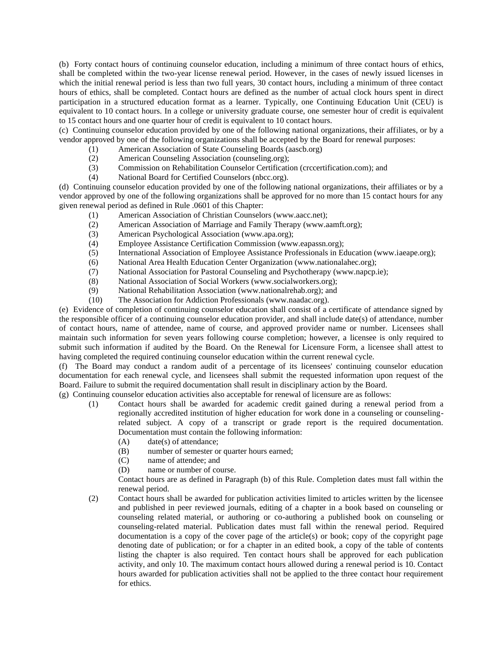(b) Forty contact hours of continuing counselor education, including a minimum of three contact hours of ethics, shall be completed within the two-year license renewal period. However, in the cases of newly issued licenses in which the initial renewal period is less than two full years, 30 contact hours, including a minimum of three contact hours of ethics, shall be completed. Contact hours are defined as the number of actual clock hours spent in direct participation in a structured education format as a learner. Typically, one Continuing Education Unit (CEU) is equivalent to 10 contact hours. In a college or university graduate course, one semester hour of credit is equivalent to 15 contact hours and one quarter hour of credit is equivalent to 10 contact hours.

(c) Continuing counselor education provided by one of the following national organizations, their affiliates, or by a vendor approved by one of the following organizations shall be accepted by the Board for renewal purposes:

- (1) American Association of State Counseling Boards (aascb.org)
- (2) American Counseling Association (counseling.org);
- (3) Commission on Rehabilitation Counselor Certification (crccertification.com); and
- (4) National Board for Certified Counselors (nbcc.org).

(d) Continuing counselor education provided by one of the following national organizations, their affiliates or by a vendor approved by one of the following organizations shall be approved for no more than 15 contact hours for any given renewal period as defined in Rule .0601 of this Chapter:

- (1) American Association of Christian Counselors (www.aacc.net);
- (2) American Association of Marriage and Family Therapy (www.aamft.org);
- (3) American Psychological Association (www.apa.org);
- (4) Employee Assistance Certification Commission (www.eapassn.org);
- (5) International Association of Employee Assistance Professionals in Education (www.iaeape.org);
- (6) National Area Health Education Center Organization (www.nationalahec.org);
- (7) National Association for Pastoral Counseling and Psychotherapy (www.napcp.ie);
- (8) National Association of Social Workers (www.socialworkers.org);
- (9) National Rehabilitation Association (www.nationalrehab.org); and
- (10) The Association for Addiction Professionals (www.naadac.org).

(e) Evidence of completion of continuing counselor education shall consist of a certificate of attendance signed by the responsible officer of a continuing counselor education provider, and shall include date(s) of attendance, number of contact hours, name of attendee, name of course, and approved provider name or number. Licensees shall maintain such information for seven years following course completion; however, a licensee is only required to submit such information if audited by the Board. On the Renewal for Licensure Form, a licensee shall attest to having completed the required continuing counselor education within the current renewal cycle.

(f) The Board may conduct a random audit of a percentage of its licensees' continuing counselor education documentation for each renewal cycle, and licensees shall submit the requested information upon request of the Board. Failure to submit the required documentation shall result in disciplinary action by the Board.

(g) Continuing counselor education activities also acceptable for renewal of licensure are as follows:

- (1) Contact hours shall be awarded for academic credit gained during a renewal period from a regionally accredited institution of higher education for work done in a counseling or counselingrelated subject. A copy of a transcript or grade report is the required documentation. Documentation must contain the following information:
	- (A) date(s) of attendance;
	- (B) number of semester or quarter hours earned;
	- (C) name of attendee; and
	- (D) name or number of course.

Contact hours are as defined in Paragraph (b) of this Rule. Completion dates must fall within the renewal period.

(2) Contact hours shall be awarded for publication activities limited to articles written by the licensee and published in peer reviewed journals, editing of a chapter in a book based on counseling or counseling related material, or authoring or co-authoring a published book on counseling or counseling-related material. Publication dates must fall within the renewal period. Required documentation is a copy of the cover page of the article(s) or book; copy of the copyright page denoting date of publication; or for a chapter in an edited book, a copy of the table of contents listing the chapter is also required. Ten contact hours shall be approved for each publication activity, and only 10. The maximum contact hours allowed during a renewal period is 10. Contact hours awarded for publication activities shall not be applied to the three contact hour requirement for ethics.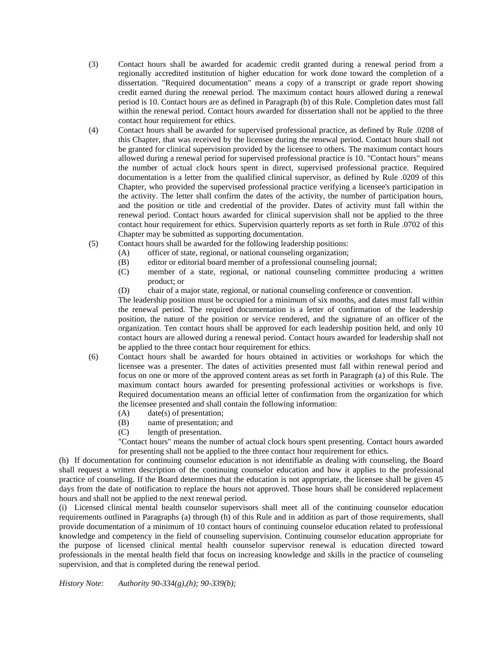- (3) Contact hours shall be awarded for academic credit granted during a renewal period from a regionally accredited institution of higher education for work done toward the completion of a dissertation. "Required documentation" means a copy of a transcript or grade report showing credit earned during the renewal period. The maximum contact hours allowed during a renewal period is 10. Contact hours are as defined in Paragraph (b) of this Rule. Completion dates must fall within the renewal period. Contact hours awarded for dissertation shall not be applied to the three contact hour requirement for ethics.
- (4) Contact hours shall be awarded for supervised professional practice, as defined by Rule .0208 of this Chapter, that was received by the licensee during the renewal period. Contact hours shall not be granted for clinical supervision provided by the licensee to others. The maximum contact hours allowed during a renewal period for supervised professional practice is 10. "Contact hours" means the number of actual clock hours spent in direct, supervised professional practice. Required documentation is a letter from the qualified clinical supervisor, as defined by Rule .0209 of this Chapter, who provided the supervised professional practice verifying a licensee's participation in the activity. The letter shall confirm the dates of the activity, the number of participation hours, and the position or title and credential of the provider. Dates of activity must fall within the renewal period. Contact hours awarded for clinical supervision shall not be applied to the three contact hour requirement for ethics. Supervision quarterly reports as set forth in Rule .0702 of this Chapter may be submitted as supporting documentation.
- (5) Contact hours shall be awarded for the following leadership positions:
	- (A) officer of state, regional, or national counseling organization;
	- (B) editor or editorial board member of a professional counseling journal;
	- (C) member of a state, regional, or national counseling committee producing a written product; or
	- (D) chair of a major state, regional, or national counseling conference or convention.

The leadership position must be occupied for a minimum of six months, and dates must fall within the renewal period. The required documentation is a letter of confirmation of the leadership position, the nature of the position or service rendered, and the signature of an officer of the organization. Ten contact hours shall be approved for each leadership position held, and only 10 contact hours are allowed during a renewal period. Contact hours awarded for leadership shall not be applied to the three contact hour requirement for ethics.

- (6) Contact hours shall be awarded for hours obtained in activities or workshops for which the licensee was a presenter. The dates of activities presented must fall within renewal period and focus on one or more of the approved content areas as set forth in Paragraph (a) of this Rule. The maximum contact hours awarded for presenting professional activities or workshops is five. Required documentation means an official letter of confirmation from the organization for which the licensee presented and shall contain the following information:
	- (A) date(s) of presentation;
	- (B) name of presentation; and
	- (C) length of presentation.

"Contact hours" means the number of actual clock hours spent presenting. Contact hours awarded for presenting shall not be applied to the three contact hour requirement for ethics.

(h) If documentation for continuing counselor education is not identifiable as dealing with counseling, the Board shall request a written description of the continuing counselor education and how it applies to the professional practice of counseling. If the Board determines that the education is not appropriate, the licensee shall be given 45 days from the date of notification to replace the hours not approved. Those hours shall be considered replacement hours and shall not be applied to the next renewal period.

(i) Licensed clinical mental health counselor supervisors shall meet all of the continuing counselor education requirements outlined in Paragraphs (a) through (h) of this Rule and in addition as part of those requirements, shall provide documentation of a minimum of 10 contact hours of continuing counselor education related to professional knowledge and competency in the field of counseling supervision. Continuing counselor education appropriate for the purpose of licensed clinical mental health counselor supervisor renewal is education directed toward professionals in the mental health field that focus on increasing knowledge and skills in the practice of counseling supervision, and that is completed during the renewal period.

*History Note: Authority 90-334(g),(h); 90-339(b);*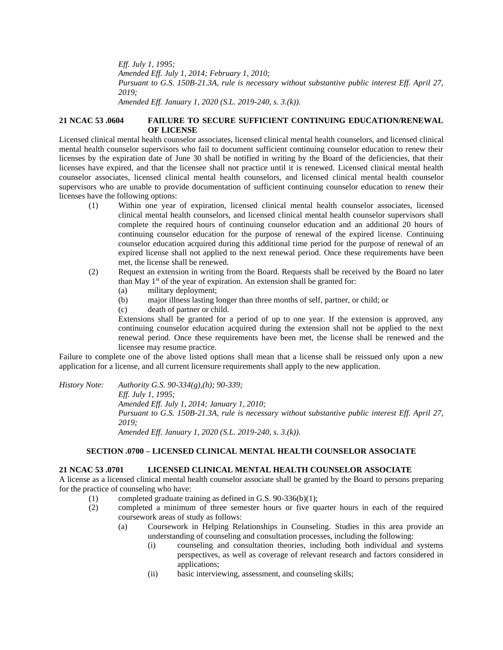*Eff. July 1, 1995;*

*Amended Eff. July 1, 2014; February 1, 2010;*

*Pursuant to G.S. 150B-21.3A, rule is necessary without substantive public interest Eff. April 27, 2019;*

*Amended Eff. January 1, 2020 (S.L. 2019-240, s. 3.(k)).*

### **21 NCAC 53 .0604 FAILURE TO SECURE SUFFICIENT CONTINUING EDUCATION/RENEWAL OF LICENSE**

Licensed clinical mental health counselor associates, licensed clinical mental health counselors, and licensed clinical mental health counselor supervisors who fail to document sufficient continuing counselor education to renew their licenses by the expiration date of June 30 shall be notified in writing by the Board of the deficiencies, that their licenses have expired, and that the licensee shall not practice until it is renewed. Licensed clinical mental health counselor associates, licensed clinical mental health counselors, and licensed clinical mental health counselor supervisors who are unable to provide documentation of sufficient continuing counselor education to renew their licenses have the following options:

- (1) Within one year of expiration, licensed clinical mental health counselor associates, licensed clinical mental health counselors, and licensed clinical mental health counselor supervisors shall complete the required hours of continuing counselor education and an additional 20 hours of continuing counselor education for the purpose of renewal of the expired license. Continuing counselor education acquired during this additional time period for the purpose of renewal of an expired license shall not applied to the next renewal period. Once these requirements have been met, the license shall be renewed.
- (2) Request an extension in writing from the Board. Requests shall be received by the Board no later than May  $1<sup>st</sup>$  of the year of expiration. An extension shall be granted for:
	- (a) military deployment;
	- (b) major illness lasting longer than three months of self, partner, or child; or
	- (c) death of partner or child.

Extensions shall be granted for a period of up to one year. If the extension is approved, any continuing counselor education acquired during the extension shall not be applied to the next renewal period. Once these requirements have been met, the license shall be renewed and the licensee may resume practice.

Failure to complete one of the above listed options shall mean that a license shall be reissued only upon a new application for a license, and all current licensure requirements shall apply to the new application.

*History Note: Authority G.S. 90-334(g),(h); 90-339; Eff. July 1, 1995; Amended Eff. July 1, 2014; January 1, 2010; Pursuant to G.S. 150B-21.3A, rule is necessary without substantive public interest Eff. April 27, 2019; Amended Eff. January 1, 2020 (S.L. 2019-240, s. 3.(k)).*

# **SECTION .0700 – LICENSED CLINICAL MENTAL HEALTH COUNSELOR ASSOCIATE**

### **21 NCAC 53 .0701 LICENSED CLINICAL MENTAL HEALTH COUNSELOR ASSOCIATE**

A license as a licensed clinical mental health counselor associate shall be granted by the Board to persons preparing for the practice of counseling who have:

- (1) completed graduate training as defined in G.S. 90-336(b)(1);
- (2) completed a minimum of three semester hours or five quarter hours in each of the required coursework areas of study as follows:
	- (a) Coursework in Helping Relationships in Counseling. Studies in this area provide an understanding of counseling and consultation processes, including the following:
		- (i) counseling and consultation theories, including both individual and systems perspectives, as well as coverage of relevant research and factors considered in applications;
		- (ii) basic interviewing, assessment, and counseling skills;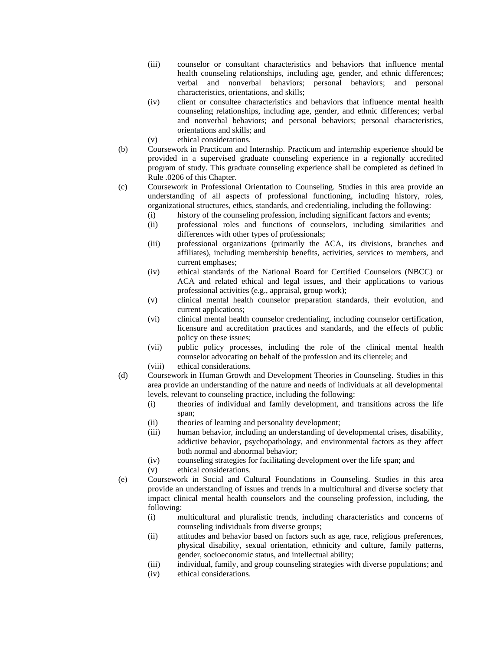- (iii) counselor or consultant characteristics and behaviors that influence mental health counseling relationships, including age, gender, and ethnic differences; verbal and nonverbal behaviors; personal behaviors; and personal characteristics, orientations, and skills;
- (iv) client or consultee characteristics and behaviors that influence mental health counseling relationships, including age, gender, and ethnic differences; verbal and nonverbal behaviors; and personal behaviors; personal characteristics, orientations and skills; and
- (v) ethical considerations.
- (b) Coursework in Practicum and Internship. Practicum and internship experience should be provided in a supervised graduate counseling experience in a regionally accredited program of study. This graduate counseling experience shall be completed as defined in Rule .0206 of this Chapter.
- (c) Coursework in Professional Orientation to Counseling. Studies in this area provide an understanding of all aspects of professional functioning, including history, roles, organizational structures, ethics, standards, and credentialing, including the following:
	- (i) history of the counseling profession, including significant factors and events;
	- (ii) professional roles and functions of counselors, including similarities and differences with other types of professionals;
	- (iii) professional organizations (primarily the ACA, its divisions, branches and affiliates), including membership benefits, activities, services to members, and current emphases;
	- (iv) ethical standards of the National Board for Certified Counselors (NBCC) or ACA and related ethical and legal issues, and their applications to various professional activities (e.g., appraisal, group work);
	- (v) clinical mental health counselor preparation standards, their evolution, and current applications;
	- (vi) clinical mental health counselor credentialing, including counselor certification, licensure and accreditation practices and standards, and the effects of public policy on these issues;
	- (vii) public policy processes, including the role of the clinical mental health counselor advocating on behalf of the profession and its clientele; and
	- (viii) ethical considerations.
- (d) Coursework in Human Growth and Development Theories in Counseling. Studies in this area provide an understanding of the nature and needs of individuals at all developmental levels, relevant to counseling practice, including the following:
	- (i) theories of individual and family development, and transitions across the life span;
	- (ii) theories of learning and personality development;
	- (iii) human behavior, including an understanding of developmental crises, disability, addictive behavior, psychopathology, and environmental factors as they affect both normal and abnormal behavior;
	- (iv) counseling strategies for facilitating development over the life span; and
	- (v) ethical considerations.
- (e) Coursework in Social and Cultural Foundations in Counseling. Studies in this area provide an understanding of issues and trends in a multicultural and diverse society that impact clinical mental health counselors and the counseling profession, including, the following:
	- (i) multicultural and pluralistic trends, including characteristics and concerns of counseling individuals from diverse groups;
	- (ii) attitudes and behavior based on factors such as age, race, religious preferences, physical disability, sexual orientation, ethnicity and culture, family patterns, gender, socioeconomic status, and intellectual ability;
	- (iii) individual, family, and group counseling strategies with diverse populations; and
	- (iv) ethical considerations.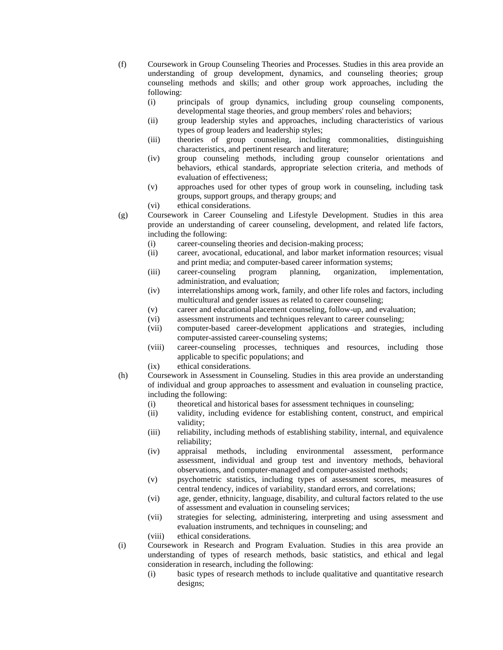(f) Coursework in Group Counseling Theories and Processes. Studies in this area provide an understanding of group development, dynamics, and counseling theories; group counseling methods and skills; and other group work approaches, including the following:

- (i) principals of group dynamics, including group counseling components, developmental stage theories, and group members' roles and behaviors;
- (ii) group leadership styles and approaches, including characteristics of various types of group leaders and leadership styles;
- (iii) theories of group counseling, including commonalities, distinguishing characteristics, and pertinent research and literature;
- (iv) group counseling methods, including group counselor orientations and behaviors, ethical standards, appropriate selection criteria, and methods of evaluation of effectiveness;
- (v) approaches used for other types of group work in counseling, including task groups, support groups, and therapy groups; and
- (vi) ethical considerations.
- (g) Coursework in Career Counseling and Lifestyle Development. Studies in this area provide an understanding of career counseling, development, and related life factors, including the following:
	- (i) career-counseling theories and decision-making process;
	- (ii) career, avocational, educational, and labor market information resources; visual and print media; and computer-based career information systems;
	- (iii) career-counseling program planning, organization, implementation, administration, and evaluation;
	- (iv) interrelationships among work, family, and other life roles and factors, including multicultural and gender issues as related to career counseling;
	- (v) career and educational placement counseling, follow-up, and evaluation;
	- (vi) assessment instruments and techniques relevant to career counseling;
	- (vii) computer-based career-development applications and strategies, including computer-assisted career-counseling systems;
	- (viii) career-counseling processes, techniques and resources, including those applicable to specific populations; and
	- (ix) ethical considerations.
- (h) Coursework in Assessment in Counseling. Studies in this area provide an understanding of individual and group approaches to assessment and evaluation in counseling practice, including the following:
	- (i) theoretical and historical bases for assessment techniques in counseling;
	- (ii) validity, including evidence for establishing content, construct, and empirical validity;
	- (iii) reliability, including methods of establishing stability, internal, and equivalence reliability;
	- (iv) appraisal methods, including environmental assessment, performance assessment, individual and group test and inventory methods, behavioral observations, and computer-managed and computer-assisted methods;
	- (v) psychometric statistics, including types of assessment scores, measures of central tendency, indices of variability, standard errors, and correlations;
	- (vi) age, gender, ethnicity, language, disability, and cultural factors related to the use of assessment and evaluation in counseling services;
	- (vii) strategies for selecting, administering, interpreting and using assessment and evaluation instruments, and techniques in counseling; and
	- (viii) ethical considerations.
- (i) Coursework in Research and Program Evaluation. Studies in this area provide an understanding of types of research methods, basic statistics, and ethical and legal consideration in research, including the following:
	- (i) basic types of research methods to include qualitative and quantitative research designs;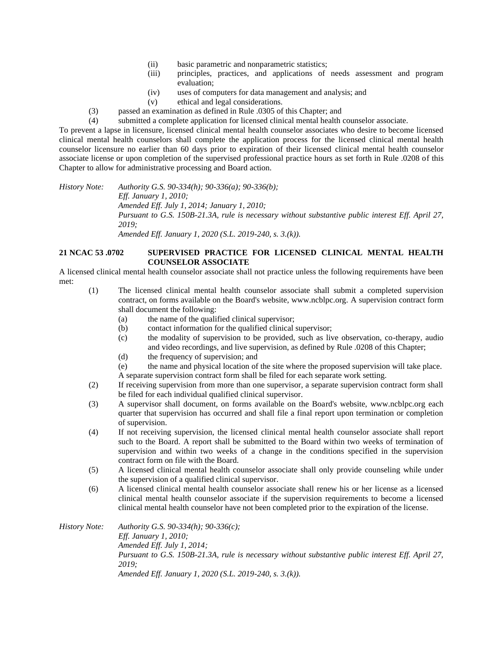- (ii) basic parametric and nonparametric statistics;
- (iii) principles, practices, and applications of needs assessment and program evaluation;
- (iv) uses of computers for data management and analysis; and
- (v) ethical and legal considerations.
- (3) passed an examination as defined in Rule .0305 of this Chapter; and

(4) submitted a complete application for licensed clinical mental health counselor associate.

To prevent a lapse in licensure, licensed clinical mental health counselor associates who desire to become licensed clinical mental health counselors shall complete the application process for the licensed clinical mental health counselor licensure no earlier than 60 days prior to expiration of their licensed clinical mental health counselor associate license or upon completion of the supervised professional practice hours as set forth in Rule .0208 of this Chapter to allow for administrative processing and Board action.

*History Note: Authority G.S. 90-334(h); 90-336(a); 90-336(b); Eff. January 1, 2010; Amended Eff. July 1, 2014; January 1, 2010; Pursuant to G.S. 150B-21.3A, rule is necessary without substantive public interest Eff. April 27, 2019; Amended Eff. January 1, 2020 (S.L. 2019-240, s. 3.(k)).*

## **21 NCAC 53 .0702 SUPERVISED PRACTICE FOR LICENSED CLINICAL MENTAL HEALTH COUNSELOR ASSOCIATE**

A licensed clinical mental health counselor associate shall not practice unless the following requirements have been met:

- (1) The licensed clinical mental health counselor associate shall submit a completed supervision contract, on forms available on the Board's website, www.ncblpc.org. A supervision contract form shall document the following:
	- (a) the name of the qualified clinical supervisor;
	- (b) contact information for the qualified clinical supervisor;
	- (c) the modality of supervision to be provided, such as live observation, co-therapy, audio and video recordings, and live supervision, as defined by Rule .0208 of this Chapter;
	- (d) the frequency of supervision; and

(e) the name and physical location of the site where the proposed supervision will take place. A separate supervision contract form shall be filed for each separate work setting.

- (2) If receiving supervision from more than one supervisor, a separate supervision contract form shall be filed for each individual qualified clinical supervisor.
- (3) A supervisor shall document, on forms available on the Board's website, www.ncblpc.org each quarter that supervision has occurred and shall file a final report upon termination or completion of supervision.
- (4) If not receiving supervision, the licensed clinical mental health counselor associate shall report such to the Board. A report shall be submitted to the Board within two weeks of termination of supervision and within two weeks of a change in the conditions specified in the supervision contract form on file with the Board.
- (5) A licensed clinical mental health counselor associate shall only provide counseling while under the supervision of a qualified clinical supervisor.
- (6) A licensed clinical mental health counselor associate shall renew his or her license as a licensed clinical mental health counselor associate if the supervision requirements to become a licensed clinical mental health counselor have not been completed prior to the expiration of the license.

*History Note: Authority G.S. 90-334(h); 90-336(c); Eff. January 1, 2010; Amended Eff. July 1, 2014; Pursuant to G.S. 150B-21.3A, rule is necessary without substantive public interest Eff. April 27, 2019; Amended Eff. January 1, 2020 (S.L. 2019-240, s. 3.(k)).*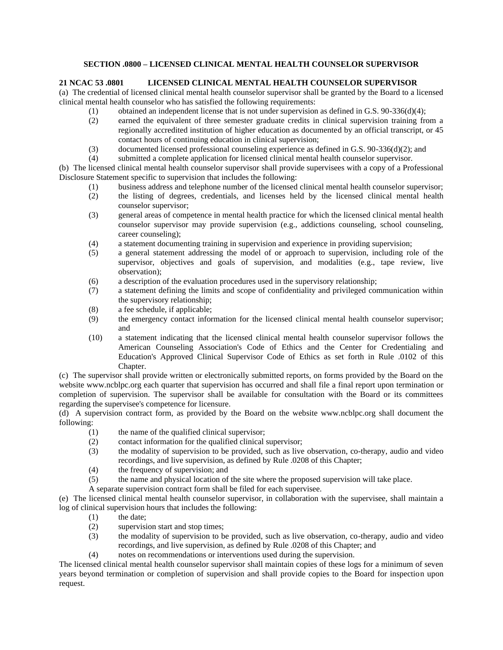# **SECTION .0800 – LICENSED CLINICAL MENTAL HEALTH COUNSELOR SUPERVISOR**

## **21 NCAC 53 .0801 LICENSED CLINICAL MENTAL HEALTH COUNSELOR SUPERVISOR**

(a) The credential of licensed clinical mental health counselor supervisor shall be granted by the Board to a licensed clinical mental health counselor who has satisfied the following requirements:

- (1) obtained an independent license that is not under supervision as defined in G.S.  $90-336(d)(4)$ ;
- (2) earned the equivalent of three semester graduate credits in clinical supervision training from a regionally accredited institution of higher education as documented by an official transcript, or 45 contact hours of continuing education in clinical supervision;
- (3) documented licensed professional counseling experience as defined in G.S. 90-336(d)(2); and
- (4) submitted a complete application for licensed clinical mental health counselor supervisor.

(b) The licensed clinical mental health counselor supervisor shall provide supervisees with a copy of a Professional Disclosure Statement specific to supervision that includes the following:

- (1) business address and telephone number of the licensed clinical mental health counselor supervisor;
- (2) the listing of degrees, credentials, and licenses held by the licensed clinical mental health counselor supervisor;
- (3) general areas of competence in mental health practice for which the licensed clinical mental health counselor supervisor may provide supervision (e.g., addictions counseling, school counseling, career counseling);
- (4) a statement documenting training in supervision and experience in providing supervision;
- (5) a general statement addressing the model of or approach to supervision, including role of the supervisor, objectives and goals of supervision, and modalities (e.g., tape review, live observation);
- (6) a description of the evaluation procedures used in the supervisory relationship;
- (7) a statement defining the limits and scope of confidentiality and privileged communication within the supervisory relationship;
- (8) a fee schedule, if applicable;
- (9) the emergency contact information for the licensed clinical mental health counselor supervisor; and
- (10) a statement indicating that the licensed clinical mental health counselor supervisor follows the American Counseling Association's Code of Ethics and the Center for Credentialing and Education's Approved Clinical Supervisor Code of Ethics as set forth in Rule .0102 of this Chapter.

(c) The supervisor shall provide written or electronically submitted reports, on forms provided by the Board on the website www.ncblpc.org each quarter that supervision has occurred and shall file a final report upon termination or completion of supervision. The supervisor shall be available for consultation with the Board or its committees regarding the supervisee's competence for licensure.

(d) A supervision contract form, as provided by the Board on the website www.ncblpc.org shall document the following:

- (1) the name of the qualified clinical supervisor;
- (2) contact information for the qualified clinical supervisor;
- (3) the modality of supervision to be provided, such as live observation, co-therapy, audio and video recordings, and live supervision, as defined by Rule .0208 of this Chapter;
- (4) the frequency of supervision; and
- (5) the name and physical location of the site where the proposed supervision will take place.
- A separate supervision contract form shall be filed for each supervisee.

(e) The licensed clinical mental health counselor supervisor, in collaboration with the supervisee, shall maintain a log of clinical supervision hours that includes the following:

- (1) the date;
- (2) supervision start and stop times;
- (3) the modality of supervision to be provided, such as live observation, co-therapy, audio and video recordings, and live supervision, as defined by Rule .0208 of this Chapter; and
- (4) notes on recommendations or interventions used during the supervision.

The licensed clinical mental health counselor supervisor shall maintain copies of these logs for a minimum of seven years beyond termination or completion of supervision and shall provide copies to the Board for inspection upon request.